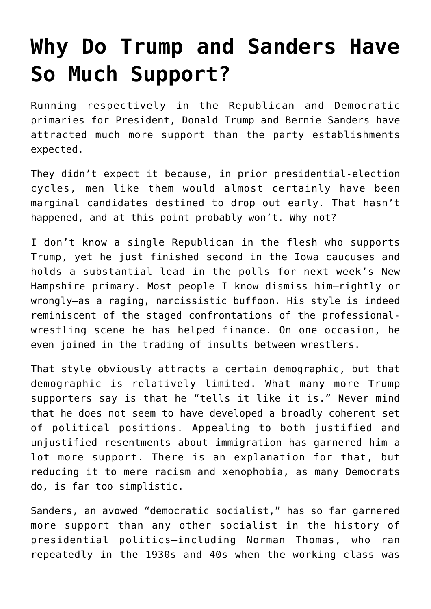## **[Why Do Trump and Sanders Have](https://intellectualtakeout.org/2016/02/why-do-trump-and-sanders-have-so-much-support/) [So Much Support?](https://intellectualtakeout.org/2016/02/why-do-trump-and-sanders-have-so-much-support/)**

Running respectively in the Republican and Democratic primaries for President, Donald Trump and Bernie Sanders have attracted much more support than the party establishments expected.

They didn't expect it because, in prior presidential-election cycles, men like them would almost certainly have been marginal candidates destined to drop out early. That hasn't happened, and at this point probably won't. Why not?

I don't know a single Republican in the flesh who supports Trump, yet he just finished second in the Iowa caucuses and holds a substantial lead in the polls for next week's New Hampshire primary. Most people I know dismiss him—rightly or wrongly—as a raging, narcissistic buffoon. His style is indeed reminiscent of the staged confrontations of the professionalwrestling scene he has helped finance. On one occasion, he even joined in the trading of insults between wrestlers.

That style obviously attracts a certain demographic, but that demographic is relatively limited. What many more Trump supporters say is that he "tells it like it is." Never mind that he does not seem to have developed a broadly coherent set of political positions. Appealing to both justified and unjustified resentments about immigration has garnered him a lot more support. There is an explanation for that, but reducing it to mere racism and xenophobia, as many Democrats do, is far too simplistic.

Sanders, an avowed "democratic socialist," has so far garnered more support than any other socialist in the history of presidential politics—including Norman Thomas, who ran repeatedly in the 1930s and 40s when the working class was